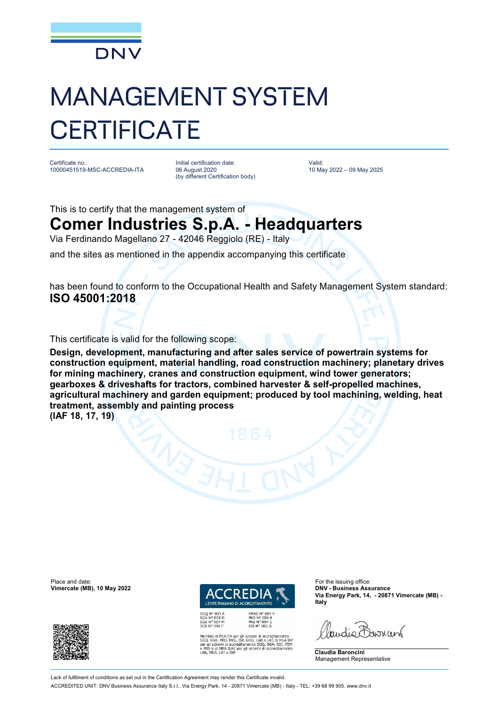

## MANAGEMENT SYSTEM **CERTIFICATE**

Certificate no.: 10000451519-MSC-ACCREDIA-ITA

Initial certification date: 06 August 2020 (by different Certification body) Valid: 10 May 2022 – 09 May 2025

This is to certify that the management system of

## **Comer Industries S.p.A. - Headquarters**

Via Ferdinando Magellano 27 - 42046 Reggiolo (RE) - Italy

and the sites as mentioned in the appendix accompanying this certificate

has been found to conform to the Occupational Health and Safety Management System standard: **ISO 45001:2018**

This certificate is valid for the following scope:

**Design, development, manufacturing and after sales service of powertrain systems for construction equipment, material handling, road construction machinery; planetary drives for mining machinery, cranes and construction equipment, wind tower generators; gearboxes & driveshafts for tractors, combined harvester & self-propelled machines, agricultural machinery and garden equipment; produced by tool machining, welding, heat treatment, assembly and painting process** 

**(IAF 18, 17, 19)**

Place and date: For the issuing office:<br> **Place and date:** For the issuing office:<br> **Place and date:** For the issuing office:<br> **Place and date:** For the issuing office:





bro di MLA EA per gli schemi di accreditamento<br>, SGA, PRD, PRS, ISP, GHG, LAB e LAT, di MLA IAR<br>;il schemi di accreditamento SGQ, SGA, SSI, FSM<br>D e di MRA ILAC per gli schemi di accreditamento<br>MED, LAT e ISP

**Via Energy Park, 14, - 20871 Vimercate (MB) - Italy**

audio Barren

**Claudia Baroncini** Management Representative

Lack of fulfilment of conditions as set out in the Certification Agreement may render this Certificate invalid

ACCREDITED UNIT: DNV Business Assurance Italy S.r.l., Via Energy Park, 14 - 20871 Vimercate (MB) - Italy - TEL: +39 68 99 905. [www.dnv.it](http://www.dnv.it)